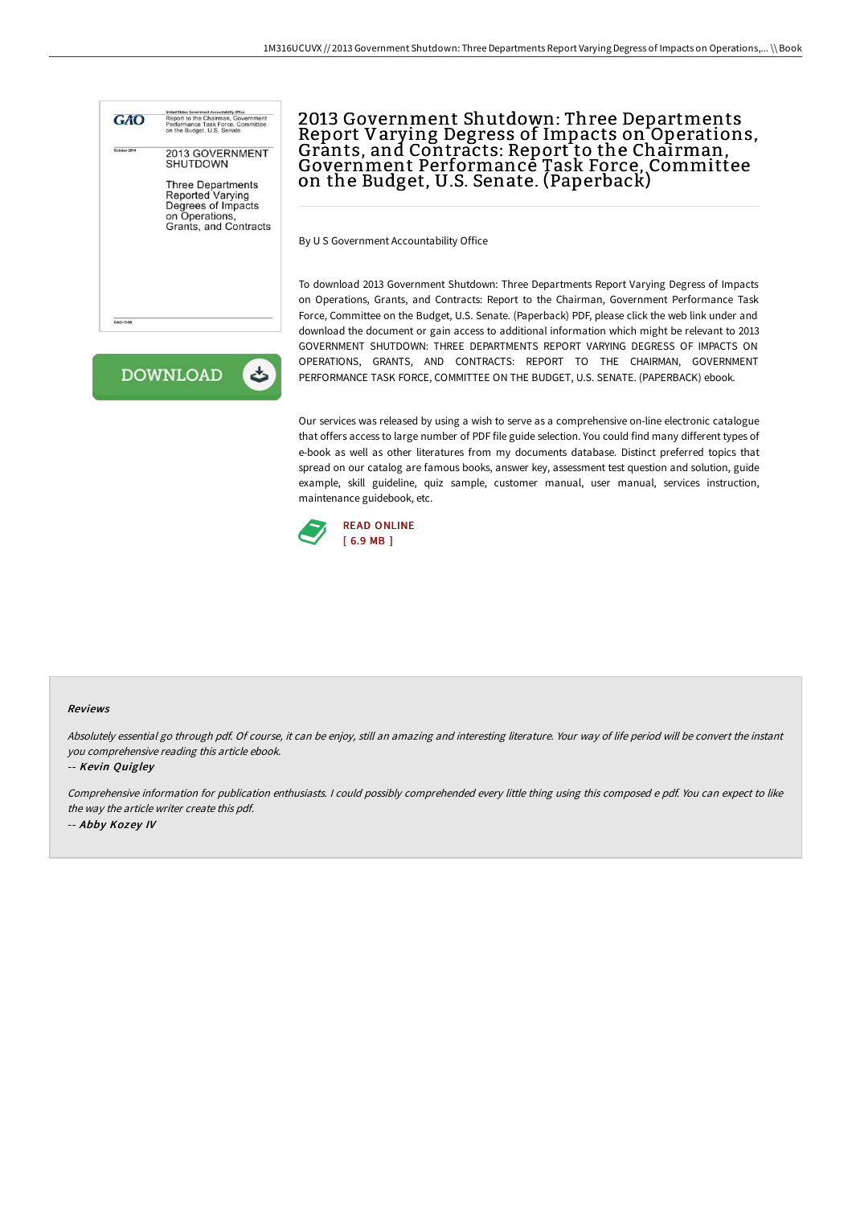



## 2013 Government Shutdown: Three Departments Report Varying Degress of Impacts on Operations,<br>Grants, and Contracts: Report to the Chairman,<br>Government Performance Task Force, Committee **Covernment Performance Task Force, Committee**<br>on the Budget, U.S. Senate. (Paperback)

By U S Government Accountability Office

To download 2013 Government Shutdown: Three Departments Report Varying Degress of Impacts on Operations, Grants, and Contracts: Report to the Chairman, Government Performance Task Force, Committee on the Budget, U.S. Senate. (Paperback) PDF, please click the web link under and download the document or gain access to additional information which might be relevant to 2013 GOVERNMENT SHUTDOWN: THREE DEPARTMENTS REPORT VARYING DEGRESS OF IMPACTS ON OPERATIONS, GRANTS, AND CONTRACTS: REPORT TO THE CHAIRMAN, GOVERNMENT PERFORMANCE TASK FORCE, COMMITTEE ON THE BUDGET, U.S. SENATE. (PAPERBACK) ebook.

Our services was released by using a wish to serve as a comprehensive on-line electronic catalogue that offers access to large number of PDF file guide selection. You could find many different types of e-book as well as other literatures from my documents database. Distinct preferred topics that spread on our catalog are famous books, answer key, assessment test question and solution, guide example, skill guideline, quiz sample, customer manual, user manual, services instruction, maintenance guidebook, etc.



## Reviews

Absolutely essential go through pdf. Of course, it can be enjoy, still an amazing and interesting literature. Your way of life period will be convert the instant you comprehensive reading this article ebook.

-- Kevin Quigley

Comprehensive information for publication enthusiasts. <sup>I</sup> could possibly comprehended every little thing using this composed <sup>e</sup> pdf. You can expect to like the way the article writer create this pdf. -- Abby Kozey IV